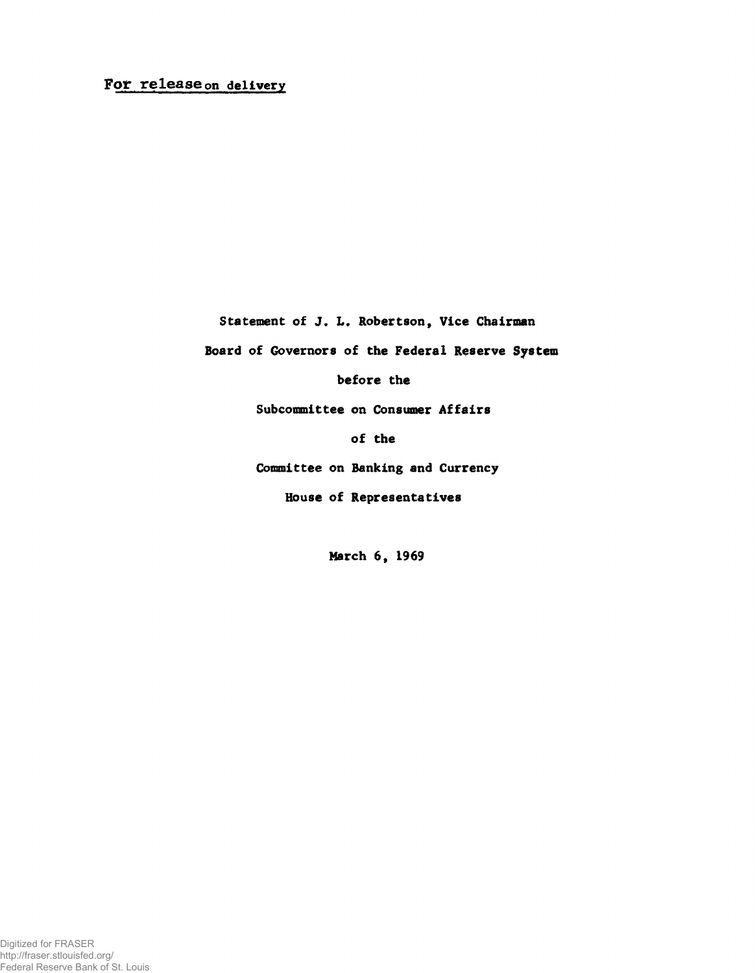## For release on delivery

Statement of J. L, Robertson, Vice Chairman

Board of Governors of the Federal Reserve System

before the

Subcommittee on Consumer Affairs

of the

Committee on Banking and Currency

House of Representatives

March 6, 1969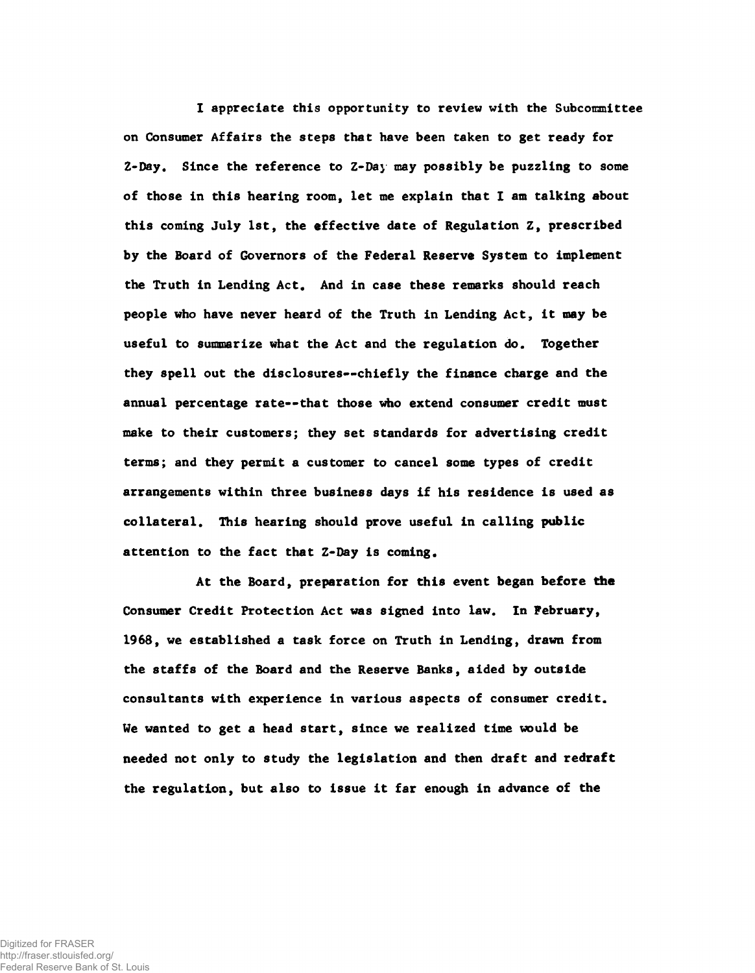I appreciate this opportunity to review with the Subcommittee on Consumer Affairs the steps that have been taken to get ready for Z-Day. Since the reference to Z-Day may possibly be puzzling to some of those in this hearing room, let me explain that I am talking about this coming July 1st, the effective date of Regulation Z, prescribed by the Board of Governors of the Federal Reserve System to implement the Truth in Lending Act. And in case these remarks should reach people who have never heard of the Truth in Lending Act, it may be useful to summarize what the Act and the regulation do. Together they spell out the disclosures— chiefly the finance charge and the annual percentage rate— that those who extend consumer credit must make to their customers; they set standards for advertising credit terms; and they permit a customer to cancel some types of credit arrangements within three business days if his residence is used as collateral. This hearing should prove useful in calling public attention to the fact that Z-Day is coming.

At the Board, preparation for this event began before the Consumer Credit Protection Act was signed into law. In Pebruary, 1968, we established a task force on Truth in Lending, drawn from the staffs of the Board and the Reserve Banks, aided by outside consultants with experience in various aspects of consumer credit. We wanted to get a head start, since we realized time would be needed not only to study the legislation and then draft and redraft the regulation, but also to issue it far enough in advance of the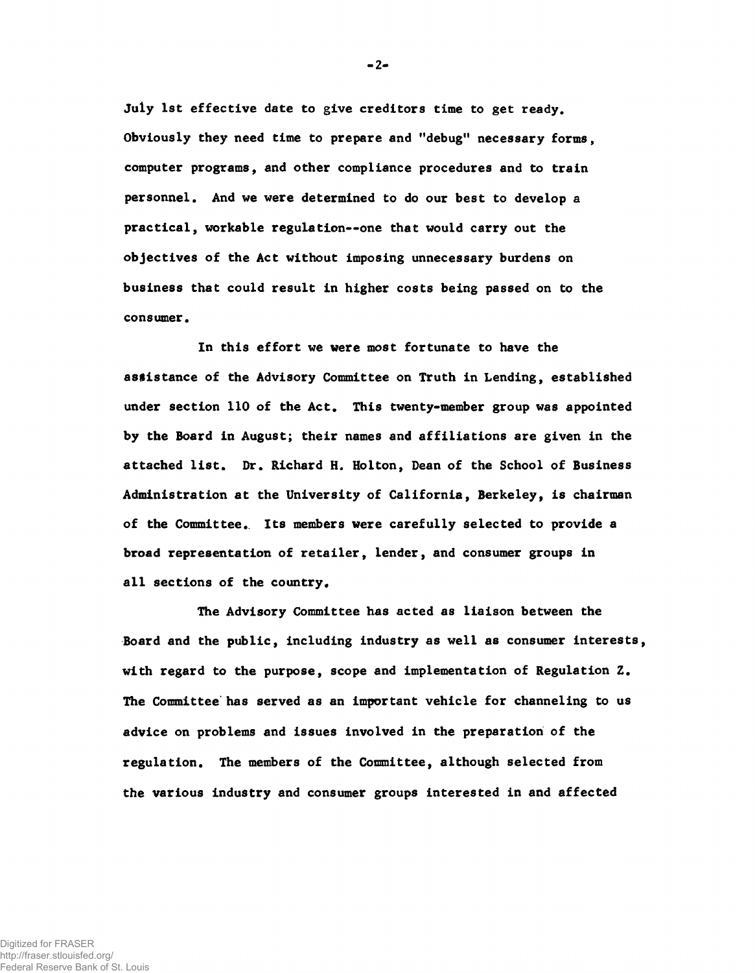July 1st effective date to give creditors time to get ready. Obviously they need time to prepare and "debug" necessary forms, computer programs, and other compliance procedures and to train personnel. And we were determined to do our best to develop a practical, workable regulation--one that would carry out the objectives of the Act without imposing unnecessary burdens on business that could result in higher costs being passed on to the consumer.

In this effort we were most fortunate to have the assistance of the Advisory Committee on Truth in Lending, established under section 110 of the Act. This twenty-member group was appointed by the Board in August; their names and affiliations are given in the attached list. Dr. Richard H. Holton, Dean of the School of Business Administration at the University of California, Berkeley, is chairman of the Committee.. Its members were carefully selected to provide a broad representation of retailer, lender, and consumer groups in all sections of the country.

The Advisory Committee has acted as liaison between the Board and the public, including industry as well as consumer interests, with regard to the purpose, scope and implementation of Regulation Z. The Committee has served as an important vehicle for channeling to us advice on problems and issues involved in the preparation of the regulation. The members of the Committee, although selected from the various industry and consumer groups interested in and affected

 $-2-$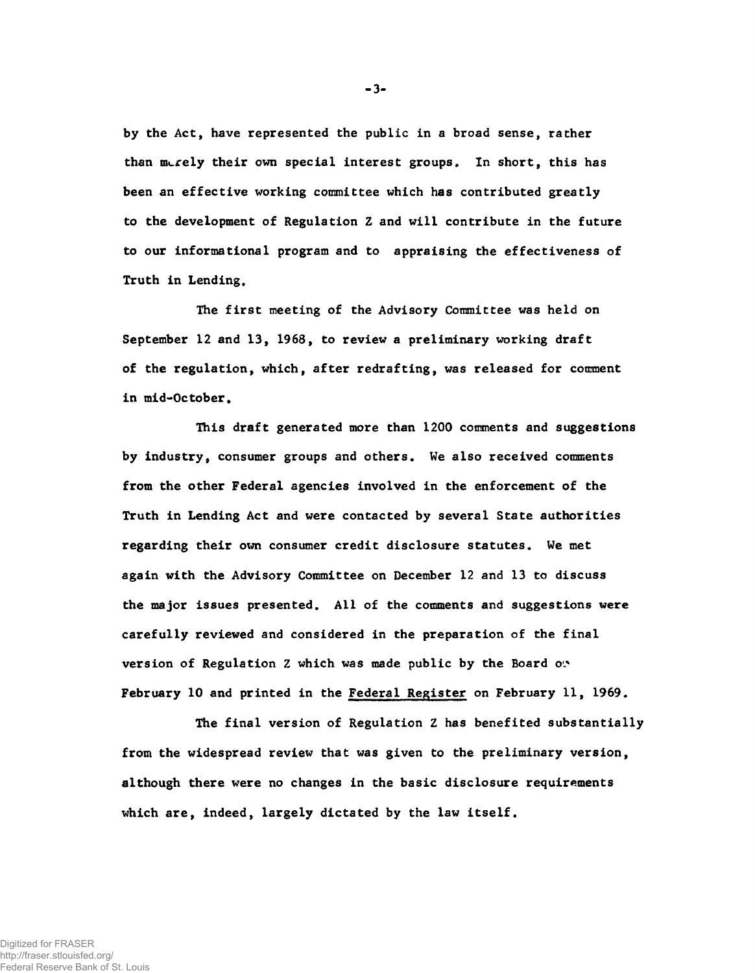by the Act, have represented the public in a broad sense, rather than merely their own special interest groups. In short, this has been an effective working committee which has contributed greatly to the development of Regulation Z and will contribute in the future to our informational program and to appraising the effectiveness of Truth in Lending.

The first meeting of the Advisory Committee was held on September 12 and 13, 1968, to review a preliminary working draft of the regulation, which, after redrafting, was released for comment in mid-October.

This draft generated more than 1200 comments and suggestions by industry, consumer groups and others. We also received comments from the other Federal agencies involved in the enforcement of the Truth in Lending Act and were contacted by several State authorities regarding their own consumer credit disclosure statutes. We met again with the Advisory Committee on December 12 and 13 to discuss the major issues presented. All of the comments and suggestions were carefully reviewed and considered in the preparation of the final version of Regulation Z which was made public by the Board on. February 10 and printed in the Federal Register on February 11, 1969.

The final version of Regulation Z has benefited substantially from the widespread review that was given to the preliminary version, although there were no changes in the basic disclosure requirements which are, indeed, largely dictated by the law itself.

**3**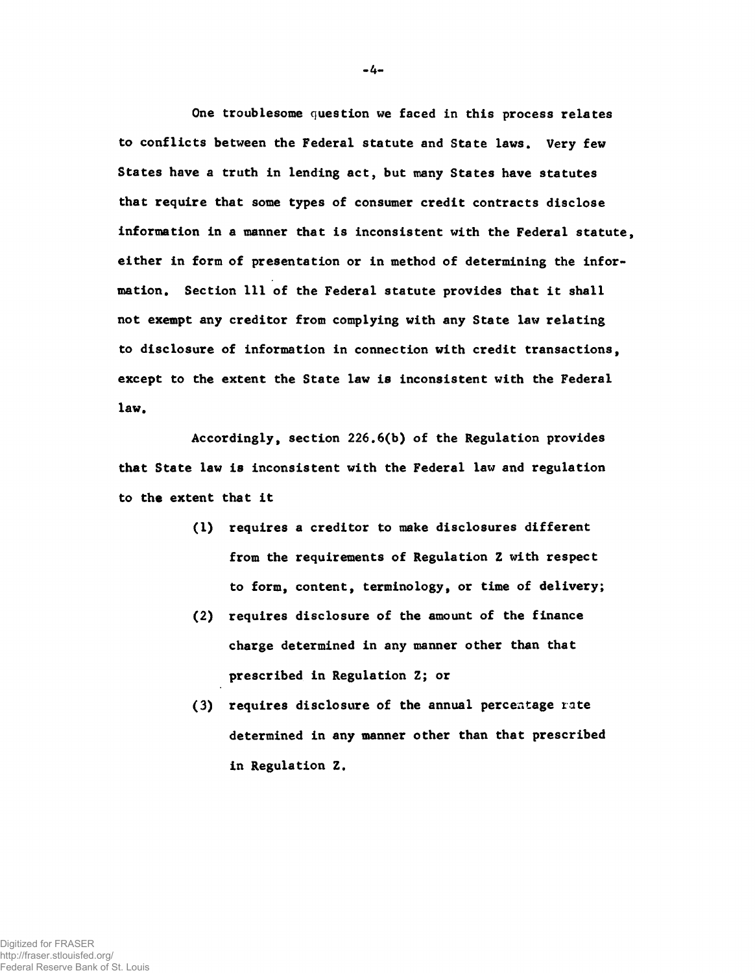One troublesome question we faced in this process relates to conflicts between the Federal statute and State laws. Very few States have a truth in lending act, but many States have statutes that require that some types of consumer credit contracts disclose information in a manner that is inconsistent with the Federal statute, either in form of presentation or in method of determining the information. Section 111 of the Federal statute provides that it shall not exempt any creditor from complying with any State law relating to disclosure of information in connection with credit transactions, except to the extent the State law is inconsistent with the Federal law.

Accordingly, section 226.6(b) of the Regulation provides that State law is inconsistent with the Federal law and regulation to the extent that it

- (1) requires a creditor to make disclosures different from the requirements of Regulation Z with respect to form, content, terminology, or time of delivery;
- (2) requires disclosure of the amount of the finance charge determined in any manner other than that prescribed in Regulation Z; or
- (3) requires disclosure of the annual percentage rate determined in any manner other than that prescribed in Regulation Z.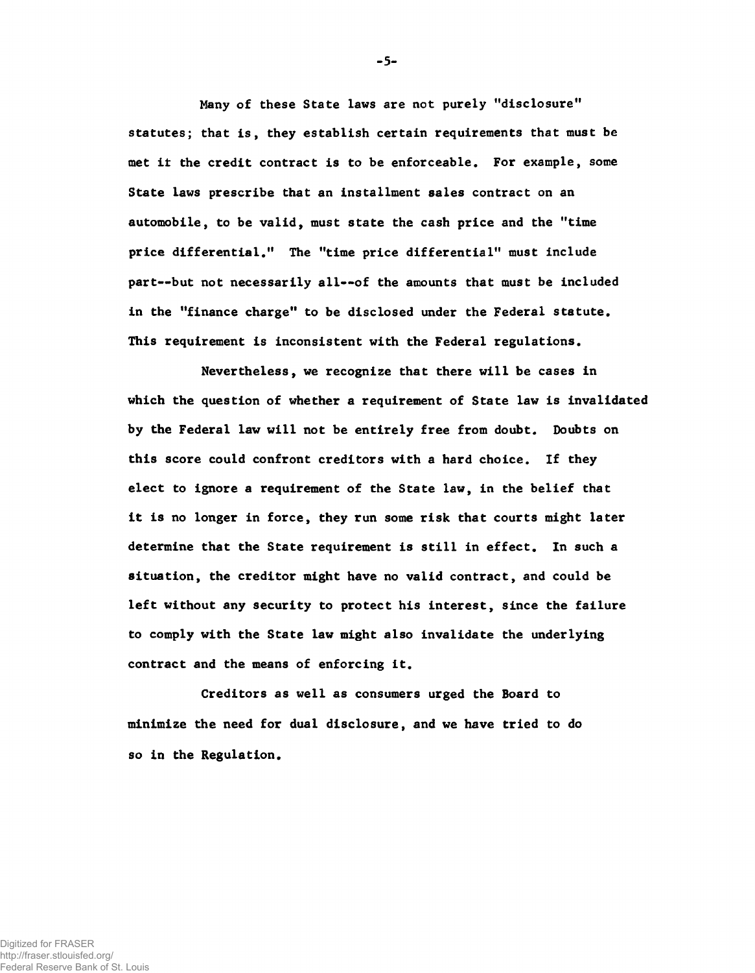Many of these State laws are not purely "disclosure" statutes; that is, they establish certain requirements that must be met it the credit contract is to be enforceable. For example, some State laws prescribe that an installment sales contract on an automobile, to be valid, must state the cash price and the "time price differential." The "time price differential" must include part— but not necessarily all— of the amounts that must be included in the "finance charge" to be disclosed under the Federal statute. This requirement is inconsistent with the Federal regulations.

Nevertheless, we recognize that there will be cases in which the question of whether a requirement of State law is invalidated by the Federal law will not be entirely free from doubt. Doubts on this score could confront creditors with a hard choice. If they elect to ignore a requirement of the State law, in the belief that it is no longer in force, they run some risk that courts might later determine that the State requirement is still in effect. In such a situation, the creditor might have no valid contract, and could be left without any security to protect his interest, since the failure to comply with the State law might also invalidate the underlying contract and the means of enforcing it.

Creditors as well as consumers urged the Board to minimize the need for dual disclosure, and we have tried to do so in the Regulation.

**- 5-**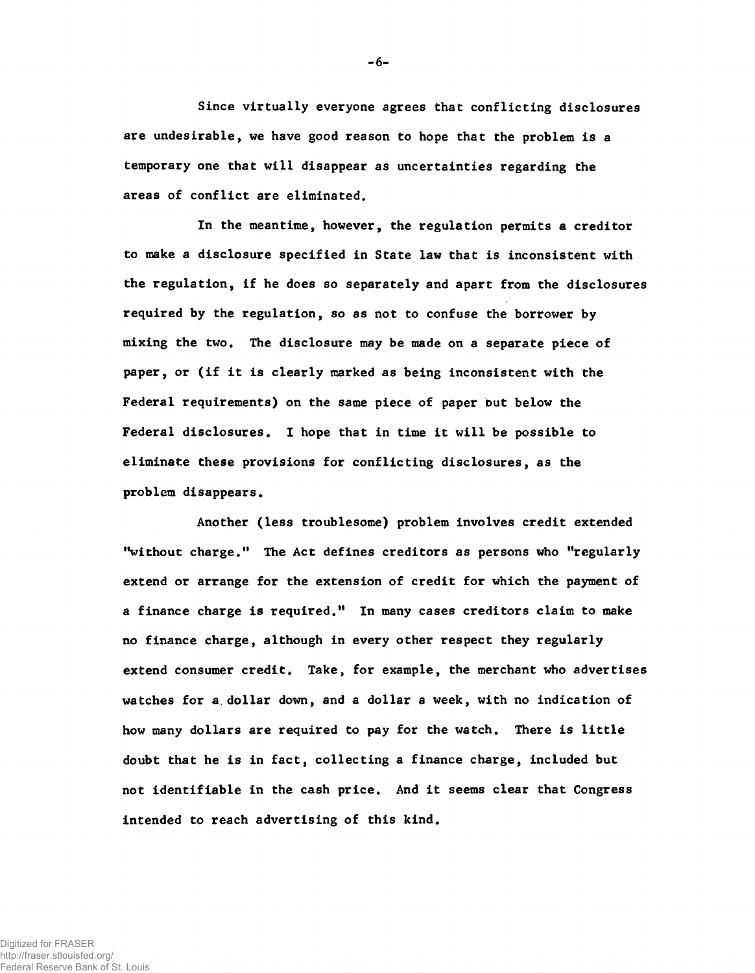Since virtually everyone agrees that conflicting disclosures are undesirable, we have good reason to hope that the problem is a temporary one that will disappear as uncertainties regarding the areas of conflict are eliminated.

In the meantime, however, the regulation permits a creditor to make a disclosure specified in State law that is inconsistent with the regulation, if he does so separately and apart from the disclosures required by the regulation, so as not to confuse the borrower by mixing the two. The disclosure may be made on a separate piece of paper, or (if it is clearly marked as being inconsistent with the Federal requirements) on the same piece of paper but below the Federal disclosures. I hope that in time it will be possible to eliminate these provisions for conflicting disclosures, as the problem disappears.

Another (less troublesome) problem involves credit extended "without charge." The Act defines creditors as persons who "regularly extend or arrange for the extension of credit for which the payment of a finance charge is required." In many cases creditors claim to make no finance charge, although in every other respect they regularly extend consumer credit. Take, for example, the merchant who advertises watches for a.dollar down, and a dollar a week, with no indication of how many dollars are required to pay for the watch. There is little doubt that he is in fact, collecting a finance charge, included but not identifiable in the cash price. And it seems clear that Congress intended to reach advertising of this kind.

 $-6-$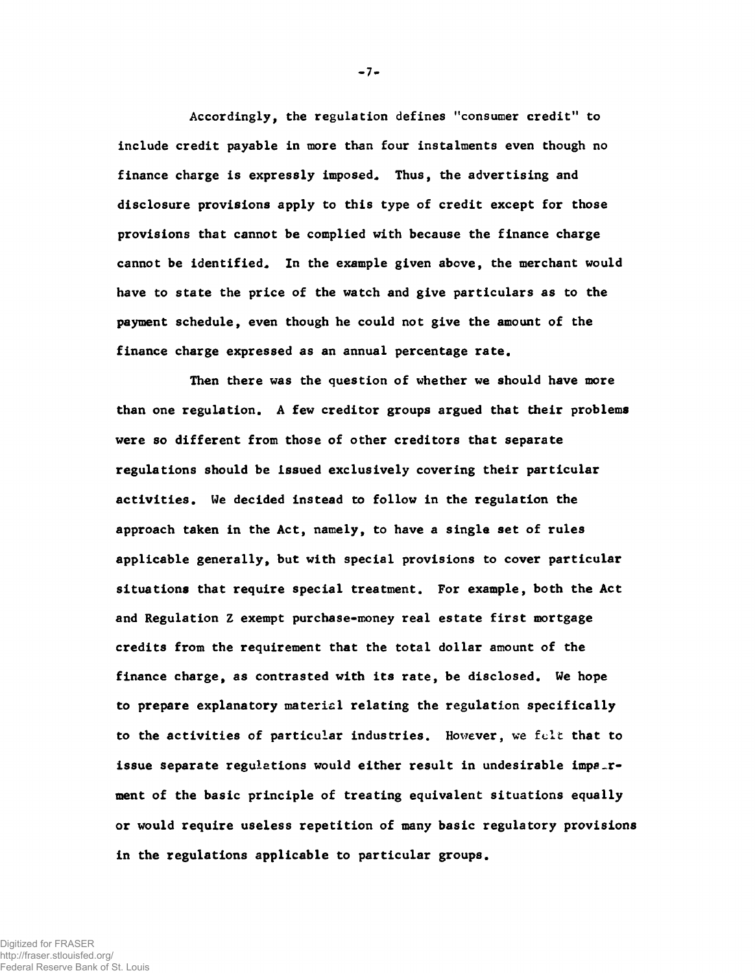Accordingly, the regulation defines "consumer credit" to include credit payable in more than four instalments even though no finance charge is expressly imposed. Thus, the advertising and disclosure provisions apply to this type of credit except for those provisions that cannot be complied with because the finance charge cannot be identified. In the example given above, the merchant would have to state the price of the watch and give particulars as to the payment schedule, even though he could not give the amount of the finance charge expressed as an annual percentage rate.

Then there was the question of whether we should have more than one regulation. A few creditor groups argued that their problems were so different from those of other creditors that separate regulations should be issued exclusively covering their particular activities. We decided instead to follow in the regulation the approach taken in the Act, namely, to have a single set of rules applicable generally, but with special provisions to cover particular situations that require special treatment. For example, both the Act and Regulation Z exempt purchase-money real estate first mortgage credits from the requirement that the total dollar amount of the finance charge, as contrasted with its rate, be disclosed. We hope to prepare explanatory materiel relating the regulation specifically to the activities of particular industries. However, we felt that to issue separate regulations would either result in undesirable impaurment of the basic principle of treating equivalent situations equally or would require useless repetition of many basic regulatory provisions in the regulations applicable to particular groups.

 $-7-$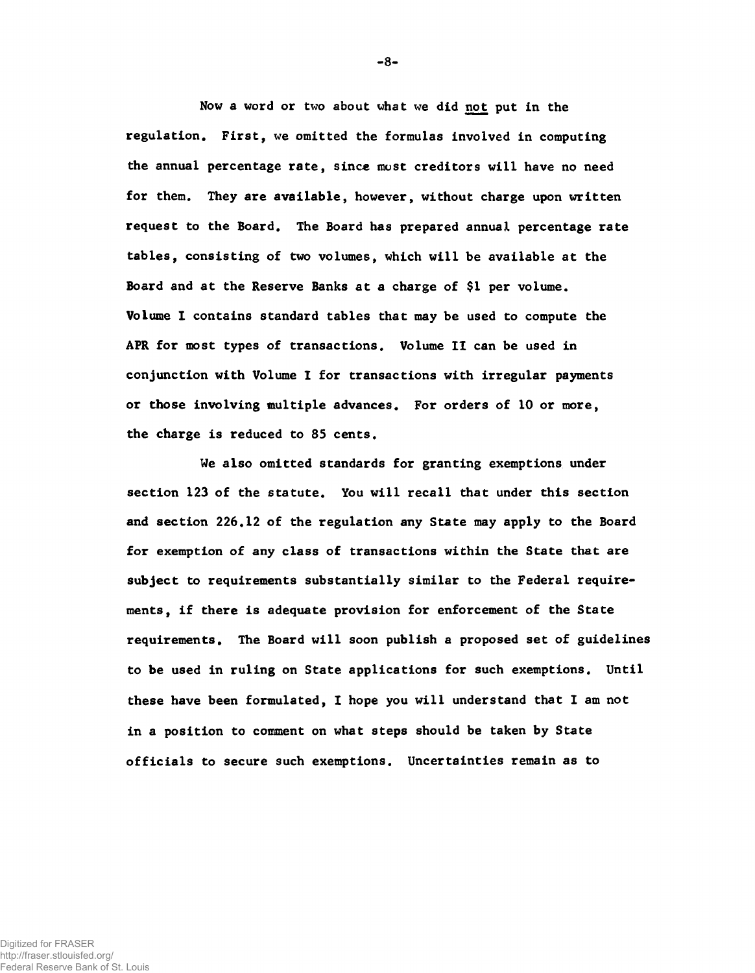Now a word or two about what we did not put in the regulation. First, we omitted the formulas involved in computing the annual percentage rate, since most creditors will have no need for them. They are available, however, without charge upon written request to the Board. The Board has prepared annual percentage rate tables, consisting of two volumes, which will be available at the Board and at the Reserve Banks at a charge of \$1 per volume. Volume 1 contains standard tables that may be used to compute the APR for most types of transactions. Volume II can be used in conjunction with Volume I for transactions with irregular payments or those involving multiple advances. For orders of 10 or more, the charge is reduced to 85 cents.

We also omitted standards for granting exemptions under section 123 of the statute. You will recall that under this section and section 226.12 of the regulation any State may apply to the Board for exemption of any class of transactions within the State that are subject to requirements substantially similar to the Federal requirements, if there is adequate provision for enforcement of the State requirements. The Board will soon publish a proposed set of guidelines to be used in ruling on State applications for such exemptions. Until these have been formulated, I hope you will understand that I am not in a position to comment on what steps should be taken by State officials to secure such exemptions. Uncertainties remain as to

**-8**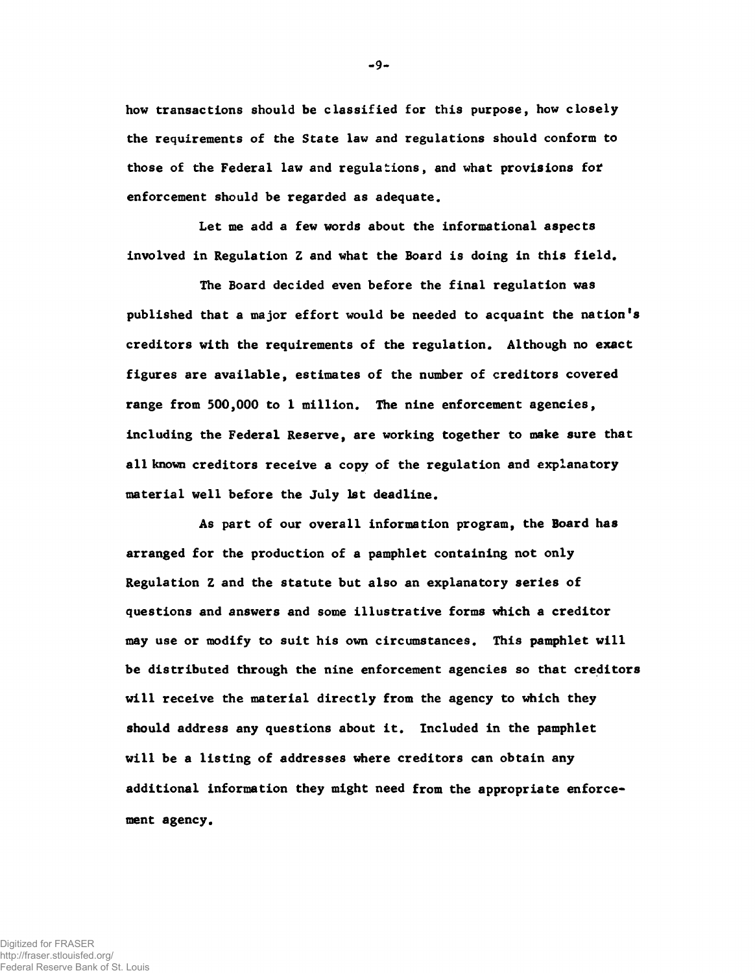how transactions should be classified for this purpose, how closely the requirements of the State law and regulations should conform to those of the Federal law and regulations, and what provisions *fot* enforcement should be regarded as adequate.

Let me add a few words about the informational aspects involved in Regulation Z and what the Board is doing in this field.

The Board decided even before the final regulation was published that a major effort would be needed to acquaint the nation's creditors with the requirements of the regulation. Although no exact figures are available, estimates of the number of creditors covered range from 500,000 to 1 million. The nine enforcement agencies, including the Federal Reserve, are working together to make sure that all known creditors receive a copy of the regulation and explanatory material well before the July 1st deadline.

As part of our overall information program, the Board has arranged for the production of a pamphlet containing not only Regulation Z and the statute but also an explanatory series of questions and answers and some illustrative forms which a creditor may use or modify to suit his own circumstances. This pamphlet will be distributed through the nine enforcement agencies so that creditors will receive the material directly from the agency to which they should address any questions about it. Included in the pamphlet will be a listing of addresses where creditors can obtain any additional information they might need from the appropriate enforcement agency.

-9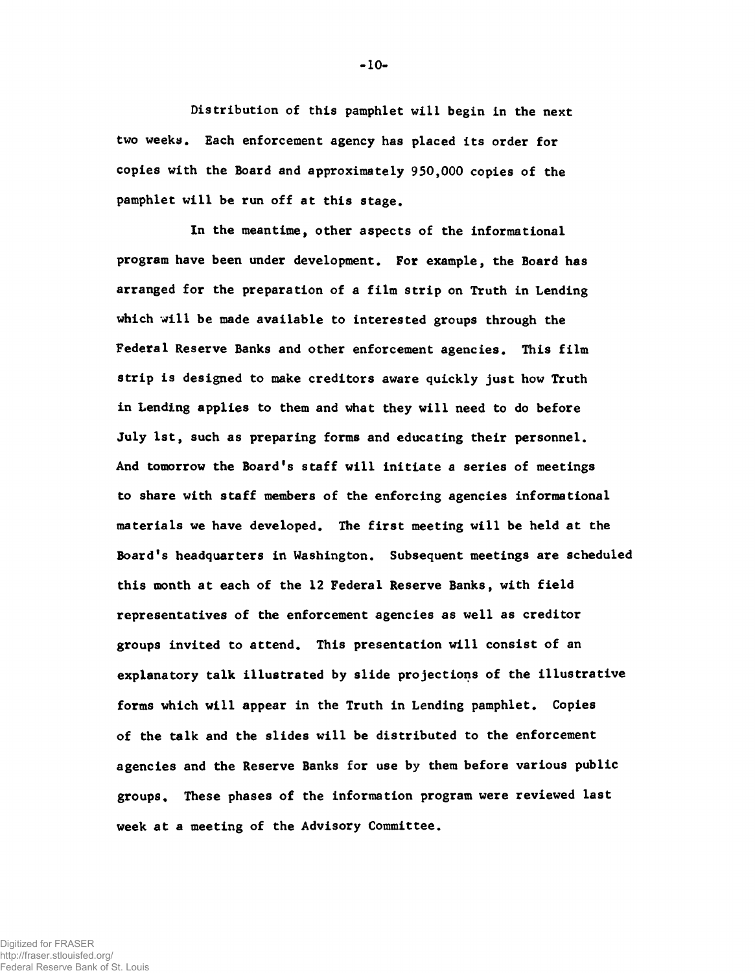Distribution of this pamphlet will begin in the next two weeks. Each enforcement agency has placed its order for copies with the Board and approximately 950,000 copies of the pamphlet will be run off at this stage.

In the meantime, other aspects of the informational program have been under development. For example, the Board has arranged for the preparation of a film strip on Truth in Lending which will be made available to interested groups through the Federal Reserve Banks and other enforcement agencies. This film strip is designed to make creditors aware quickly just how Truth in Lending applies to them and what they will need to do before July 1st, such as preparing forms and educating their personnel. And tomorrow the Board's staff will initiate a series of meetings to share with staff members of the enforcing agencies informational materials we have developed. The first meeting will be held at the Board's headquarters in Washington. Subsequent meetings are scheduled this month at each of the 12 Federal Reserve Banks, with field representatives of the enforcement agencies as well as creditor groups invited to attend. This presentation will consist of an explanatory talk illustrated by slide projections of the illustrative forms which will appear in the Truth in Lending pamphlet. Copies of the talk and the slides will be distributed to the enforcement agencies and the Reserve Banks for use by them before various public groups. These phases of the information program were reviewed last week at a meeting of the Advisory Committee.

**-10-**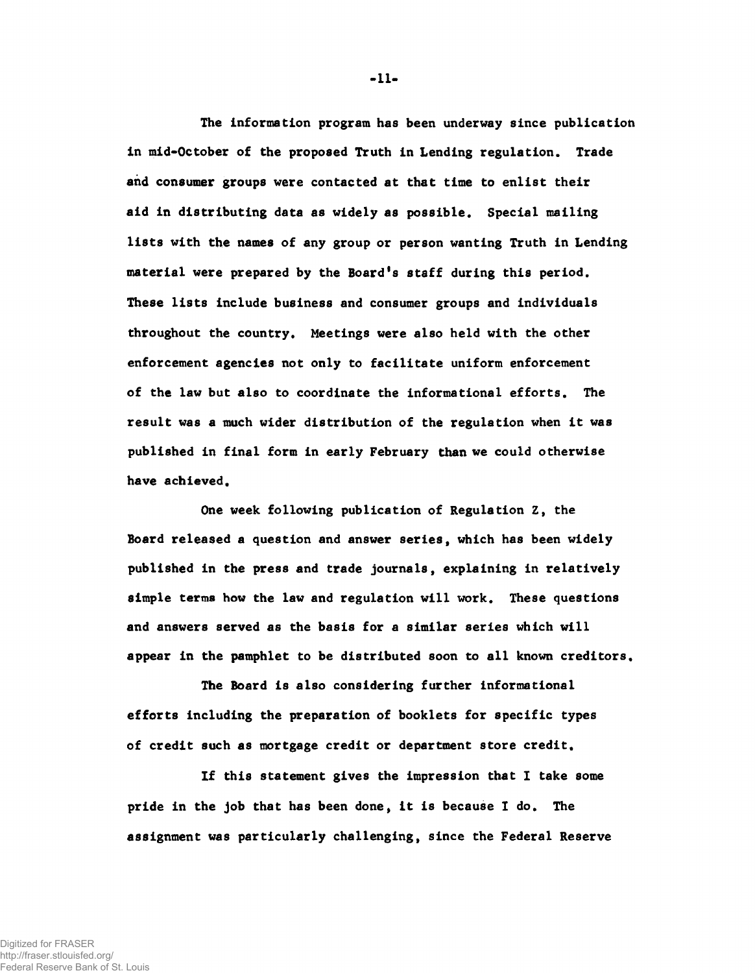The information program has been underway since publication in mid-October of the proposed Truth in Lending regulation. Trade and consumer groups were contacted at that time to enlist their aid in distributing data as widely as possible. Special mailing lists with the names of any group or person wanting Truth in Lending material were prepared by the Board's staff during this period. These lists include business and consumer groups and individuals throughout the country. Meetings were also held with the other enforcement agencies not only to facilitate uniform enforcement of the law but also to coordinate the informational efforts. The result was a much wider distribution of the regulation when it was published in final form in early February than we could otherwise have achieved.

One week following publication of Regulation Z, the Board released a question and answer series, which has been widely published in the press and trade journals, explaining in relatively simple terms how the law and regulation will work. These questions and answers served as the basis for a similar series which will appear in the pamphlet to be distributed soon to all known creditors.

The Board is also considering further informational efforts including the preparation of booklets for specific types of credit such as mortgage credit or department store credit.

If this statement gives the impression that I take some pride in the job that has been done, it is because I do. The assignment was particularly challenging, since the Federal Reserve

**-11-**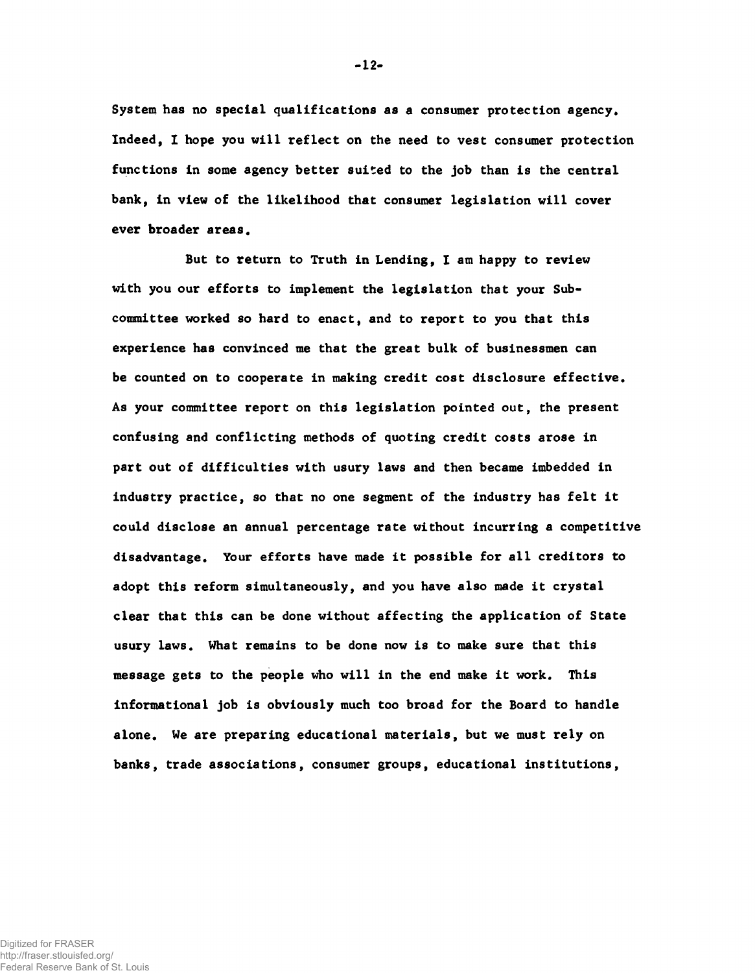System has no special qualifications as a consumer protection agency. Indeed, I hope you will reflect on the need to vest consumer protection functions in some agency better suited to the job than is the central bank, in view of the likelihood that consumer legislation will cover ever broader areas.

But to return to Truth in Lending, I am happy to review with you our efforts to implement the legislation that your Subcommittee worked so hard to enact, and to report to you that this experience has convinced me that the great bulk of businessmen can be counted on to cooperate in making credit cost disclosure effective. As your committee report on this legislation pointed out, the present confusing and conflicting methods of quoting credit costs arose in part out of difficulties with usury laws and then became imbedded in industry practice, so that no one segment of the industry has felt it could disclose an annual percentage rate without incurring a competitive disadvantage. Your efforts have made it possible for all creditors to adopt this reform simultaneously, and you have also made it crystal clear that this can be done without affecting the application of State usury laws. What remains to be done now is to make sure that this message gets to the people who will in the end make it work. This informational job is obviously much too broad for the Board to handle alone. We are preparing educational materials, but we must rely on banks, trade associations, consumer groups, educational institutions,

**-12-**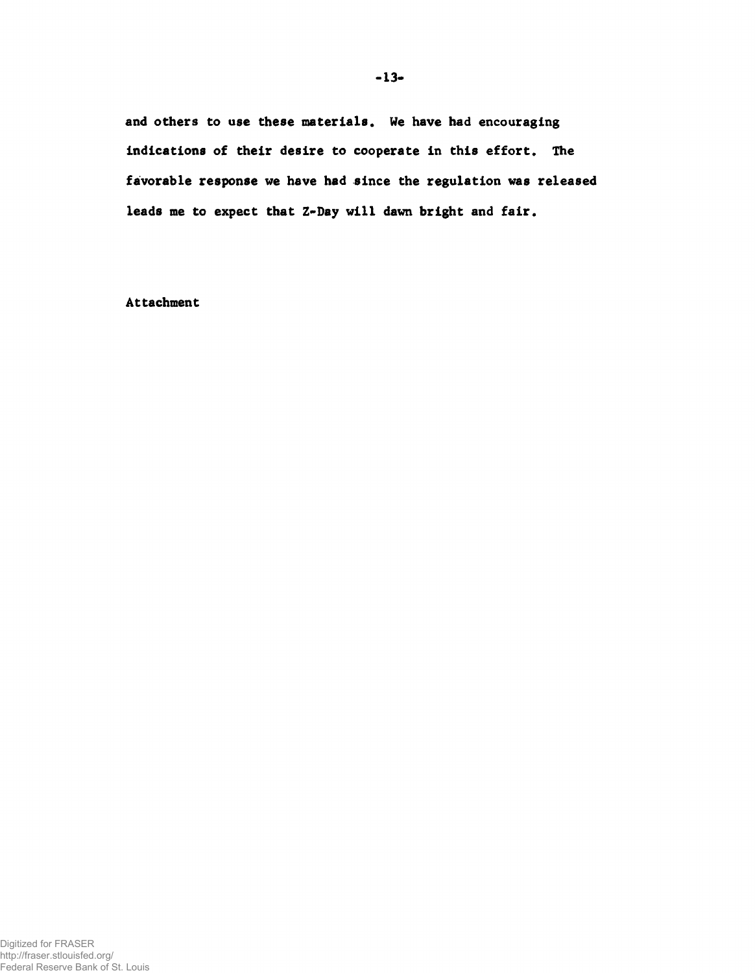and others to use these materials. We have had encouraging indications of their desire to cooperate in this effort. The favorable response we have had since the regulation was released leads me to expect that Z-Day will dawn bright and fair.

Attachment